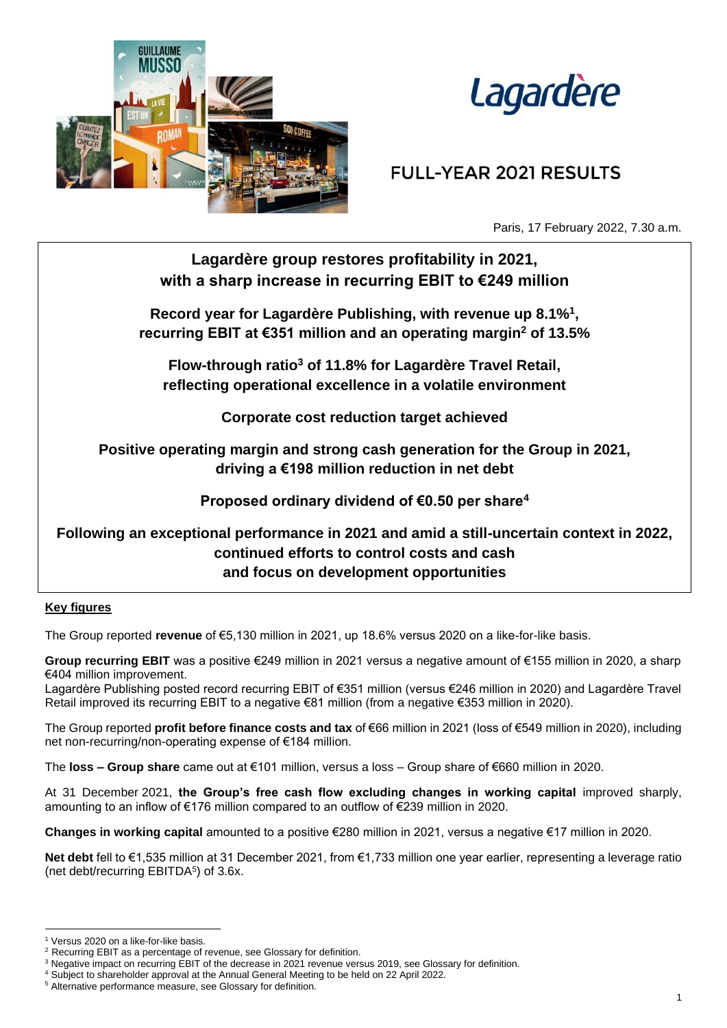



# **FULL-YEAR 2021 RESULTS**

Paris, 17 February 2022, 7.30 a.m.

# **Lagardère group restores profitability in 2021, with a sharp increase in recurring EBIT to €249 million**

**Record year for Lagardère Publishing, with revenue up 8.1%<sup>1</sup> , recurring EBIT at €351 million and an operating margin<sup>2</sup> of 13.5%**

**Flow-through ratio<sup>3</sup> of 11.8% for Lagardère Travel Retail, reflecting operational excellence in a volatile environment**

**Corporate cost reduction target achieved**

**Positive operating margin and strong cash generation for the Group in 2021, driving a €198 million reduction in net debt**

**Proposed ordinary dividend of €0.50 per share<sup>4</sup>**

**Following an exceptional performance in 2021 and amid a still-uncertain context in 2022, continued efforts to control costs and cash and focus on development opportunities** 

### **Key figures**

The Group reported **revenue** of €5,130 million in 2021, up 18.6% versus 2020 on a like-for-like basis.

**Group recurring EBIT** was a positive €249 million in 2021 versus a negative amount of €155 million in 2020, a sharp €404 million improvement.

Lagardère Publishing posted record recurring EBIT of €351 million (versus €246 million in 2020) and Lagardère Travel Retail improved its recurring EBIT to a negative €81 million (from a negative €353 million in 2020).

The Group reported **profit before finance costs and tax** of €66 million in 2021 (loss of €549 million in 2020), including net non-recurring/non-operating expense of €184 million.

The **loss – Group share** came out at €101 million, versus a loss – Group share of €660 million in 2020.

At 31 December 2021, **the Group's free cash flow excluding changes in working capital** improved sharply, amounting to an inflow of €176 million compared to an outflow of €239 million in 2020.

**Changes in working capital** amounted to a positive €280 million in 2021, versus a negative €17 million in 2020.

**Net debt** fell to €1,535 million at 31 December 2021, from €1,733 million one year earlier, representing a leverage ratio (net debt/recurring EBITDA<sup>5</sup>) of 3.6x.

<sup>&</sup>lt;sup>1</sup> Versus 2020 on a like-for-like basis.

<sup>&</sup>lt;sup>2</sup> Recurring EBIT as a percentage of revenue, see Glossary for definition.

<sup>3</sup> Negative impact on recurring EBIT of the decrease in 2021 revenue versus 2019, see Glossary for definition.

<sup>4</sup> Subject to shareholder approval at the Annual General Meeting to be held on 22 April 2022.

<sup>5</sup> Alternative performance measure, see Glossary for definition.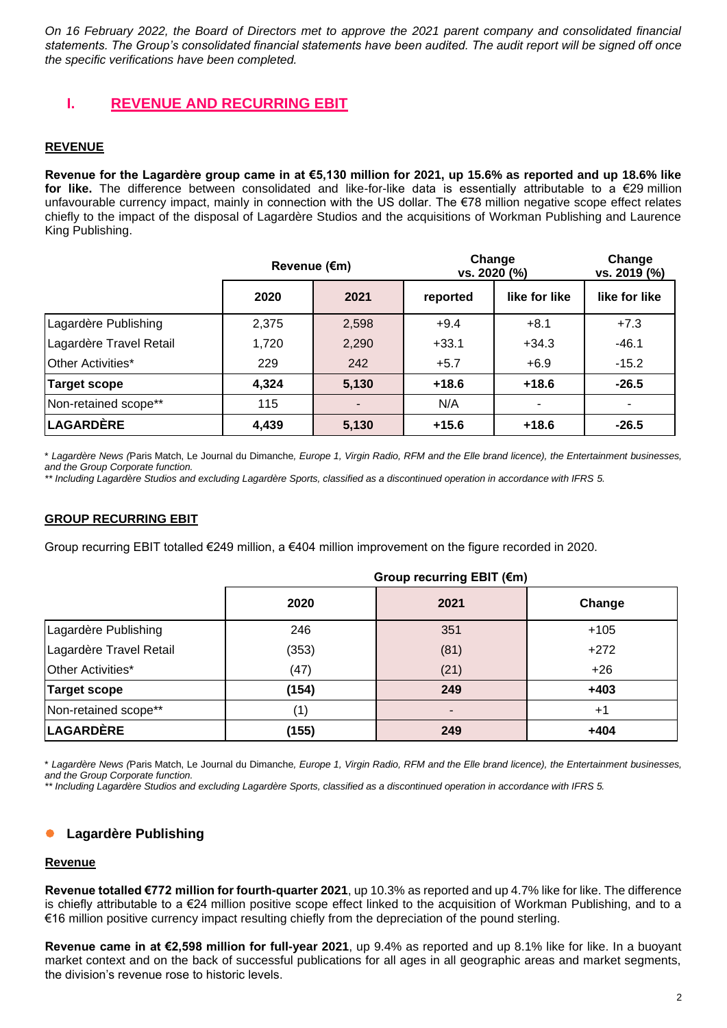*On 16 February 2022, the Board of Directors met to approve the 2021 parent company and consolidated financial statements. The Group's consolidated financial statements have been audited. The audit report will be signed off once the specific verifications have been completed.*

# **I. REVENUE AND RECURRING EBIT**

### **REVENUE**

**Revenue for the Lagardère group came in at €5,130 million for 2021, up 15.6% as reported and up 18.6% like for like.** The difference between consolidated and like-for-like data is essentially attributable to a €29 million unfavourable currency impact, mainly in connection with the US dollar. The €78 million negative scope effect relates chiefly to the impact of the disposal of Lagardère Studios and the acquisitions of Workman Publishing and Laurence King Publishing.

|                         | Revenue (€m) |       | Change<br>vs. 2020 (%) |               | Change<br>vs. 2019 (%) |
|-------------------------|--------------|-------|------------------------|---------------|------------------------|
|                         | 2020         | 2021  | reported               | like for like | like for like          |
| Lagardère Publishing    | 2,375        | 2,598 | $+9.4$                 | $+8.1$        | $+7.3$                 |
| Lagardère Travel Retail | 1,720        | 2,290 | $+33.1$                | $+34.3$       | $-46.1$                |
| Other Activities*       | 229          | 242   | $+5.7$                 | $+6.9$        | $-15.2$                |
| <b>Target scope</b>     | 4,324        | 5,130 | $+18.6$                | $+18.6$       | $-26.5$                |
| Non-retained scope**    | 115          |       | N/A                    | ۰             |                        |
| <b>LAGARDÈRE</b>        | 4,439        | 5,130 | $+15.6$                | $+18.6$       | $-26.5$                |

\* *Lagardère News (*Paris Match, Le Journal du Dimanche*, Europe 1, Virgin Radio, RFM and the Elle brand licence), the Entertainment businesses, and the Group Corporate function.*

*\*\* Including Lagardère Studios and excluding Lagardère Sports, classified as a discontinued operation in accordance with IFRS 5.*

### **GROUP RECURRING EBIT**

Group recurring EBIT totalled €249 million, a €404 million improvement on the figure recorded in 2020.

|                         | Group recurring EBIT (€m) |      |        |
|-------------------------|---------------------------|------|--------|
|                         | 2020                      | 2021 | Change |
| Lagardère Publishing    | 246                       | 351  | $+105$ |
| Lagardère Travel Retail | (353)                     | (81) | $+272$ |
| Other Activities*       | (47)                      | (21) | $+26$  |
| <b>Target scope</b>     | (154)                     | 249  | $+403$ |
| Non-retained scope**    | (1)                       |      | $+1$   |
| <b>LAGARDÈRE</b>        | (155)                     | 249  | $+404$ |

\* *Lagardère News (*Paris Match, Le Journal du Dimanche*, Europe 1, Virgin Radio, RFM and the Elle brand licence), the Entertainment businesses, and the Group Corporate function.*

*\*\* Including Lagardère Studios and excluding Lagardère Sports, classified as a discontinued operation in accordance with IFRS 5.*

### ⚫ **Lagardère Publishing**

#### **Revenue**

**Revenue totalled €772 million for fourth-quarter 2021**, up 10.3% as reported and up 4.7% like for like. The difference is chiefly attributable to a €24 million positive scope effect linked to the acquisition of Workman Publishing, and to a €16 million positive currency impact resulting chiefly from the depreciation of the pound sterling.

**Revenue came in at €2,598 million for full-year 2021**, up 9.4% as reported and up 8.1% like for like. In a buoyant market context and on the back of successful publications for all ages in all geographic areas and market segments, the division's revenue rose to historic levels.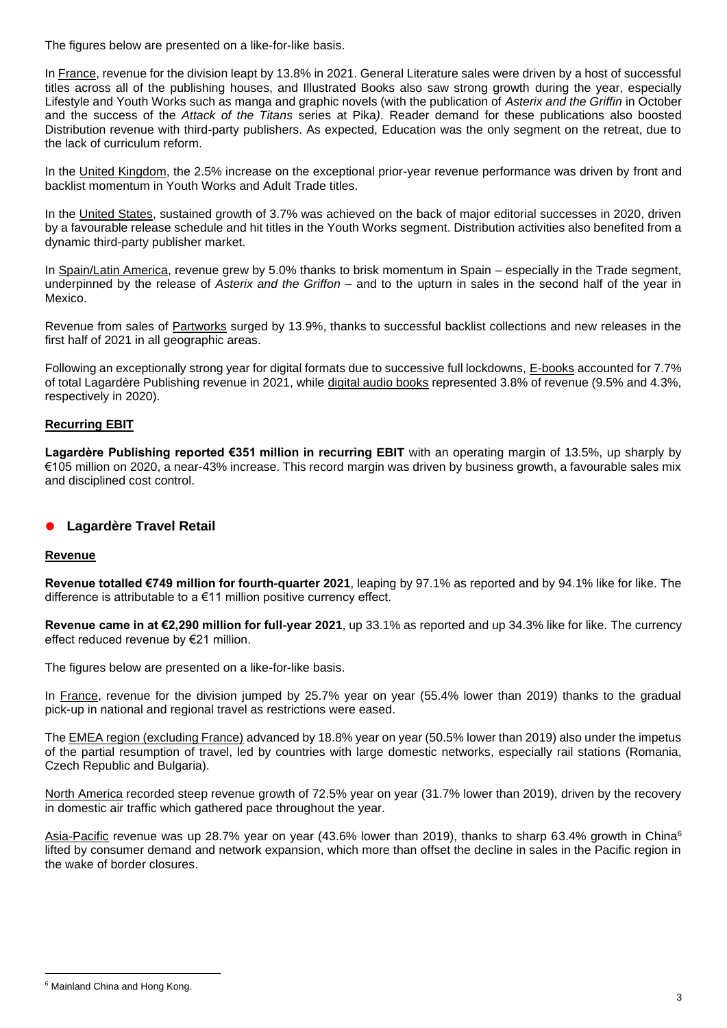The figures below are presented on a like-for-like basis.

In France, revenue for the division leapt by 13.8% in 2021. General Literature sales were driven by a host of successful titles across all of the publishing houses, and Illustrated Books also saw strong growth during the year, especially Lifestyle and Youth Works such as manga and graphic novels (with the publication of *Asterix and the Griffin* in October and the success of the *Attack of the Titans* series at Pika*)*. Reader demand for these publications also boosted Distribution revenue with third-party publishers. As expected, Education was the only segment on the retreat, due to the lack of curriculum reform.

In the United Kingdom, the 2.5% increase on the exceptional prior-year revenue performance was driven by front and backlist momentum in Youth Works and Adult Trade titles.

In the United States, sustained growth of 3.7% was achieved on the back of major editorial successes in 2020, driven by a favourable release schedule and hit titles in the Youth Works segment. Distribution activities also benefited from a dynamic third-party publisher market.

In Spain/Latin America, revenue grew by 5.0% thanks to brisk momentum in Spain – especially in the Trade segment, underpinned by the release of *Asterix and the Griffon* – and to the upturn in sales in the second half of the year in Mexico.

Revenue from sales of Partworks surged by 13.9%, thanks to successful backlist collections and new releases in the first half of 2021 in all geographic areas.

Following an exceptionally strong year for digital formats due to successive full lockdowns, E-books accounted for 7.7% of total Lagardère Publishing revenue in 2021, while digital audio books represented 3.8% of revenue (9.5% and 4.3%, respectively in 2020).

### **Recurring EBIT**

**Lagardère Publishing reported €351 million in recurring EBIT** with an operating margin of 13.5%, up sharply by €105 million on 2020, a near-43% increase. This record margin was driven by business growth, a favourable sales mix and disciplined cost control.

## ⚫ **Lagardère Travel Retail**

### **Revenue**

**Revenue totalled €749 million for fourth-quarter 2021**, leaping by 97.1% as reported and by 94.1% like for like. The difference is attributable to a €11 million positive currency effect.

**Revenue came in at €2,290 million for full-year 2021**, up 33.1% as reported and up 34.3% like for like. The currency effect reduced revenue by €21 million.

The figures below are presented on a like-for-like basis.

In France, revenue for the division jumped by 25.7% year on year (55.4% lower than 2019) thanks to the gradual pick-up in national and regional travel as restrictions were eased.

The EMEA region (excluding France) advanced by 18.8% year on year (50.5% lower than 2019) also under the impetus of the partial resumption of travel, led by countries with large domestic networks, especially rail stations (Romania, Czech Republic and Bulgaria).

North America recorded steep revenue growth of 72.5% year on year (31.7% lower than 2019), driven by the recovery in domestic air traffic which gathered pace throughout the year.

Asia-Pacific revenue was up 28.7% year on year (43.6% lower than 2019), thanks to sharp 63.4% growth in China<sup>6</sup> lifted by consumer demand and network expansion, which more than offset the decline in sales in the Pacific region in the wake of border closures.

<sup>6</sup> Mainland China and Hong Kong.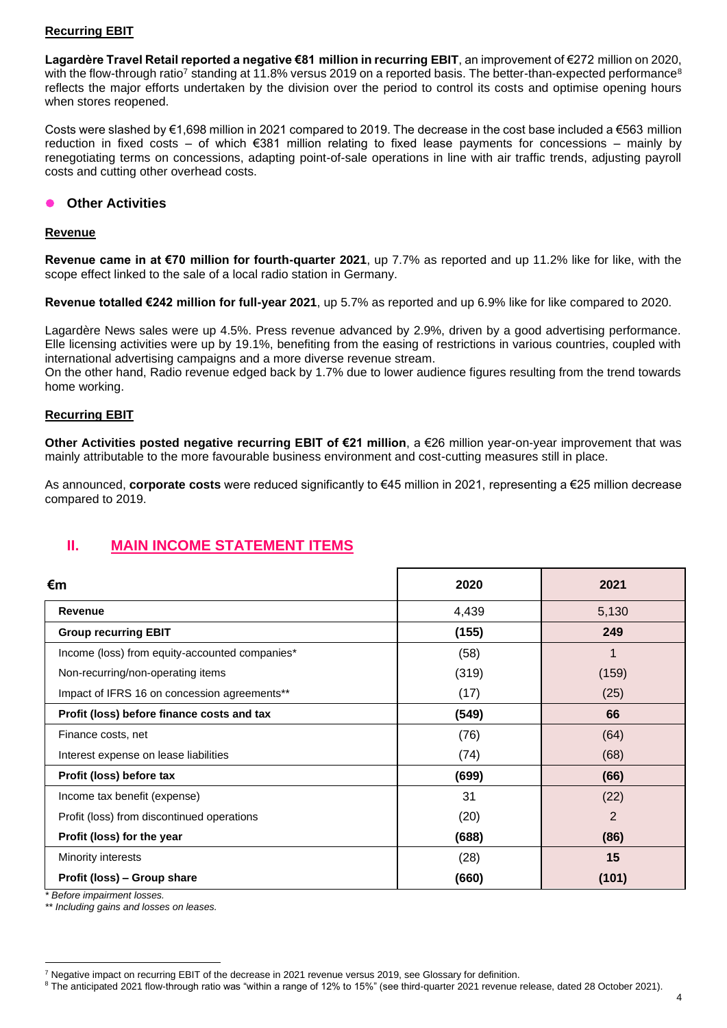### **Recurring EBIT**

**Lagardère Travel Retail reported a negative €81 million in recurring EBIT**, an improvement of €272 million on 2020, with the flow-through ratio<sup>7</sup> standing at 11.8% versus 2019 on a reported basis. The better-than-expected performance<sup>8</sup> reflects the major efforts undertaken by the division over the period to control its costs and optimise opening hours when stores reopened.

Costs were slashed by €1,698 million in 2021 compared to 2019. The decrease in the cost base included a €563 million reduction in fixed costs – of which €381 million relating to fixed lease payments for concessions – mainly by renegotiating terms on concessions, adapting point-of-sale operations in line with air traffic trends, adjusting payroll costs and cutting other overhead costs.

### ⚫ **Other Activities**

#### **Revenue**

**Revenue came in at €70 million for fourth-quarter 2021**, up 7.7% as reported and up 11.2% like for like, with the scope effect linked to the sale of a local radio station in Germany.

**Revenue totalled €242 million for full-year 2021**, up 5.7% as reported and up 6.9% like for like compared to 2020.

Lagardère News sales were up 4.5%. Press revenue advanced by 2.9%, driven by a good advertising performance. Elle licensing activities were up by 19.1%, benefiting from the easing of restrictions in various countries, coupled with international advertising campaigns and a more diverse revenue stream.

On the other hand, Radio revenue edged back by 1.7% due to lower audience figures resulting from the trend towards home working.

### **Recurring EBIT**

**Other Activities posted negative recurring EBIT of €21 million**, a €26 million year-on-year improvement that was mainly attributable to the more favourable business environment and cost-cutting measures still in place.

As announced, **corporate costs** were reduced significantly to €45 million in 2021, representing a €25 million decrease compared to 2019.

# **II. MAIN INCOME STATEMENT ITEMS**

| €m                                             | 2020  | 2021           |
|------------------------------------------------|-------|----------------|
| Revenue                                        | 4,439 | 5,130          |
| <b>Group recurring EBIT</b>                    | (155) | 249            |
| Income (loss) from equity-accounted companies* | (58)  |                |
| Non-recurring/non-operating items              | (319) | (159)          |
| Impact of IFRS 16 on concession agreements**   | (17)  | (25)           |
| Profit (loss) before finance costs and tax     | (549) | 66             |
| Finance costs, net                             | (76)  | (64)           |
| Interest expense on lease liabilities          | (74)  | (68)           |
| Profit (loss) before tax                       | (699) | (66)           |
| Income tax benefit (expense)                   | 31    | (22)           |
| Profit (loss) from discontinued operations     | (20)  | $\overline{2}$ |
| Profit (loss) for the year                     | (688) | (86)           |
| Minority interests                             | (28)  | 15             |
| Profit (loss) - Group share                    | (660) | (101)          |

*\* Before impairment losses.*

*\*\* Including gains and losses on leases.*

<sup>7</sup> Negative impact on recurring EBIT of the decrease in 2021 revenue versus 2019, see Glossary for definition.

<sup>8</sup> The anticipated 2021 flow-through ratio was "within a range of 12% to 15%" (see third-quarter 2021 revenue release, dated 28 October 2021).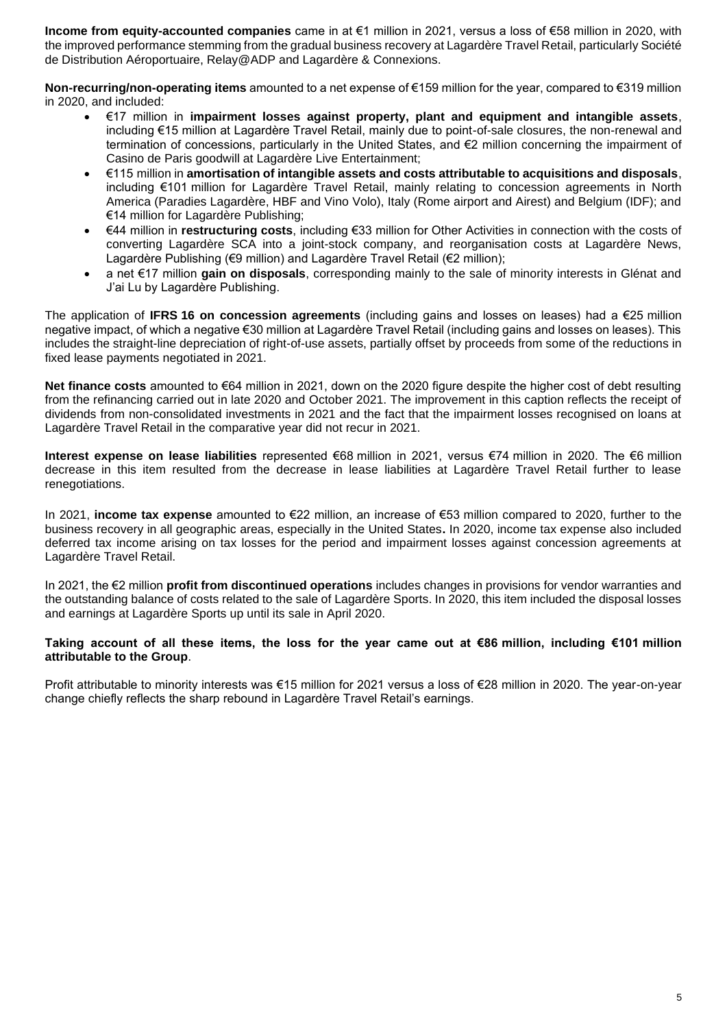**Income from equity-accounted companies** came in at €1 million in 2021, versus a loss of €58 million in 2020, with the improved performance stemming from the gradual business recovery at Lagardère Travel Retail, particularly Société de Distribution Aéroportuaire, Relay@ADP and Lagardère & Connexions.

**Non-recurring/non-operating items** amounted to a net expense of €159 million for the year, compared to €319 million in 2020, and included:

- €17 million in **impairment losses against property, plant and equipment and intangible assets**, including €15 million at Lagardère Travel Retail, mainly due to point-of-sale closures, the non-renewal and termination of concessions, particularly in the United States, and €2 million concerning the impairment of Casino de Paris goodwill at Lagardère Live Entertainment;
- €115 million in **amortisation of intangible assets and costs attributable to acquisitions and disposals**, including €101 million for Lagardère Travel Retail, mainly relating to concession agreements in North America (Paradies Lagardère, HBF and Vino Volo), Italy (Rome airport and Airest) and Belgium (IDF); and €14 million for Lagardère Publishing;
- €44 million in **restructuring costs**, including €33 million for Other Activities in connection with the costs of converting Lagardère SCA into a joint-stock company, and reorganisation costs at Lagardère News, Lagardère Publishing (€9 million) and Lagardère Travel Retail (€2 million);
- a net €17 million **gain on disposals**, corresponding mainly to the sale of minority interests in Glénat and J'ai Lu by Lagardère Publishing.

The application of **IFRS 16 on concession agreements** (including gains and losses on leases) had a €25 million negative impact, of which a negative €30 million at Lagardère Travel Retail (including gains and losses on leases). This includes the straight-line depreciation of right-of-use assets, partially offset by proceeds from some of the reductions in fixed lease payments negotiated in 2021.

**Net finance costs** amounted to €64 million in 2021, down on the 2020 figure despite the higher cost of debt resulting from the refinancing carried out in late 2020 and October 2021. The improvement in this caption reflects the receipt of dividends from non-consolidated investments in 2021 and the fact that the impairment losses recognised on loans at Lagardère Travel Retail in the comparative year did not recur in 2021.

**Interest expense on lease liabilities** represented €68 million in 2021, versus €74 million in 2020. The €6 million decrease in this item resulted from the decrease in lease liabilities at Lagardère Travel Retail further to lease renegotiations.

In 2021, **income tax expense** amounted to €22 million, an increase of €53 million compared to 2020, further to the business recovery in all geographic areas, especially in the United States**.** In 2020, income tax expense also included deferred tax income arising on tax losses for the period and impairment losses against concession agreements at Lagardère Travel Retail.

In 2021, the €2 million **profit from discontinued operations** includes changes in provisions for vendor warranties and the outstanding balance of costs related to the sale of Lagardère Sports. In 2020, this item included the disposal losses and earnings at Lagardère Sports up until its sale in April 2020.

#### **Taking account of all these items, the loss for the year came out at €86 million, including €101 million attributable to the Group**.

Profit attributable to minority interests was €15 million for 2021 versus a loss of €28 million in 2020. The year-on-year change chiefly reflects the sharp rebound in Lagardère Travel Retail's earnings.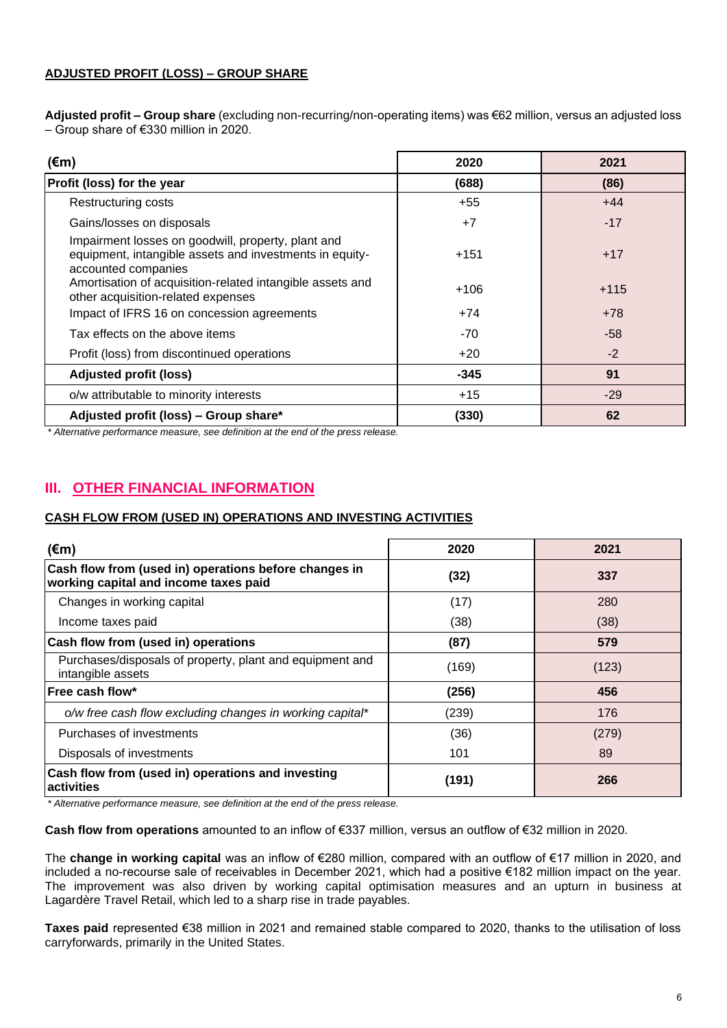### **ADJUSTED PROFIT (LOSS) – GROUP SHARE**

**Adjusted profit – Group share** (excluding non-recurring/non-operating items) was €62 million, versus an adjusted loss – Group share of €330 million in 2020.

| $(\epsilon m)$                                                                                                                       | 2020   | 2021   |
|--------------------------------------------------------------------------------------------------------------------------------------|--------|--------|
| Profit (loss) for the year                                                                                                           | (688)  | (86)   |
| <b>Restructuring costs</b>                                                                                                           | $+55$  | $+44$  |
| Gains/losses on disposals                                                                                                            | $+7$   | $-17$  |
| Impairment losses on goodwill, property, plant and<br>equipment, intangible assets and investments in equity-<br>accounted companies | $+151$ | $+17$  |
| Amortisation of acquisition-related intangible assets and<br>other acquisition-related expenses                                      | $+106$ | $+115$ |
| Impact of IFRS 16 on concession agreements                                                                                           | $+74$  | $+78$  |
| Tax effects on the above items                                                                                                       | $-70$  | $-58$  |
| Profit (loss) from discontinued operations                                                                                           | $+20$  | $-2$   |
| <b>Adjusted profit (loss)</b>                                                                                                        | $-345$ | 91     |
| o/w attributable to minority interests                                                                                               | $+15$  | $-29$  |
| Adjusted profit (loss) - Group share*                                                                                                | (330)  | 62     |

*\* Alternative performance measure, see definition at the end of the press release.*

# **III. OTHER FINANCIAL INFORMATION**

### **CASH FLOW FROM (USED IN) OPERATIONS AND INVESTING ACTIVITIES**

| $(\epsilon m)$                                                                                 | 2020  | 2021  |
|------------------------------------------------------------------------------------------------|-------|-------|
| Cash flow from (used in) operations before changes in<br>working capital and income taxes paid | (32)  | 337   |
| Changes in working capital                                                                     | (17)  | 280   |
| Income taxes paid                                                                              | (38)  | (38)  |
| Cash flow from (used in) operations                                                            | (87)  | 579   |
| Purchases/disposals of property, plant and equipment and<br>intangible assets                  | (169) | (123) |
| lFree cash flow*                                                                               | (256) | 456   |
| o/w free cash flow excluding changes in working capital*                                       | (239) | 176   |
| Purchases of investments                                                                       | (36)  | (279) |
| Disposals of investments                                                                       | 101   | 89    |
| Cash flow from (used in) operations and investing<br>lactivities                               | (191) | 266   |

*\* Alternative performance measure, see definition at the end of the press release.*

**Cash flow from operations** amounted to an inflow of €337 million, versus an outflow of €32 million in 2020.

The **change in working capital** was an inflow of €280 million, compared with an outflow of €17 million in 2020, and included a no-recourse sale of receivables in December 2021, which had a positive €182 million impact on the year. The improvement was also driven by working capital optimisation measures and an upturn in business at Lagardère Travel Retail, which led to a sharp rise in trade payables.

**Taxes paid** represented €38 million in 2021 and remained stable compared to 2020, thanks to the utilisation of loss carryforwards, primarily in the United States.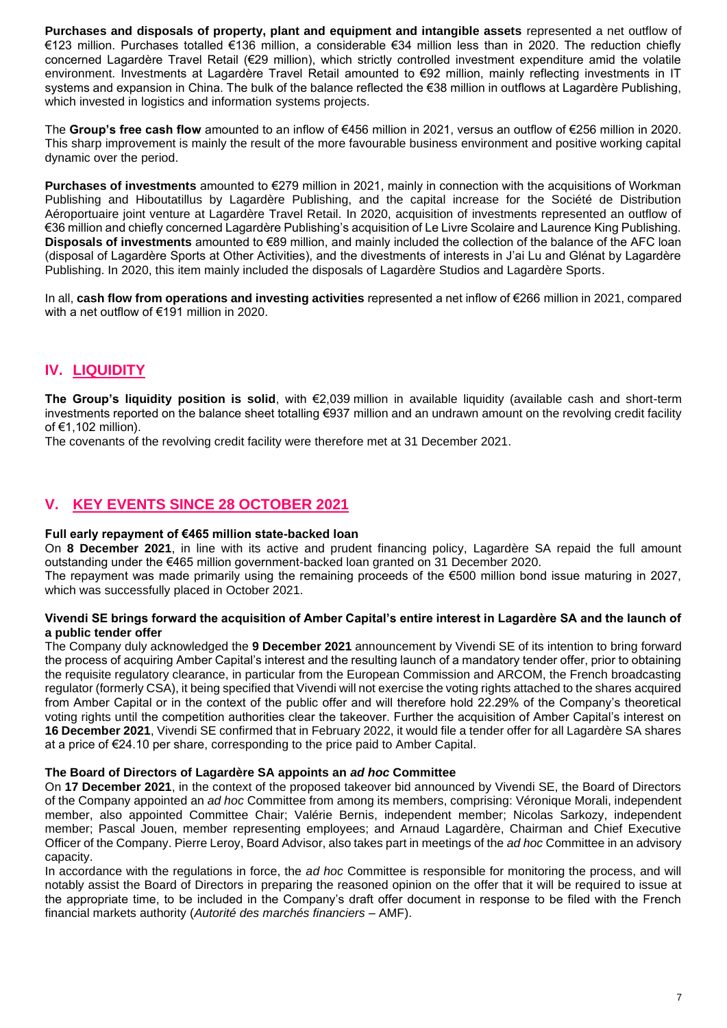**Purchases and disposals of property, plant and equipment and intangible assets** represented a net outflow of €123 million. Purchases totalled €136 million, a considerable €34 million less than in 2020. The reduction chiefly concerned Lagardère Travel Retail (€29 million), which strictly controlled investment expenditure amid the volatile environment. Investments at Lagardère Travel Retail amounted to €92 million, mainly reflecting investments in IT systems and expansion in China. The bulk of the balance reflected the €38 million in outflows at Lagardère Publishing, which invested in logistics and information systems projects.

The **Group's free cash flow** amounted to an inflow of €456 million in 2021, versus an outflow of €256 million in 2020. This sharp improvement is mainly the result of the more favourable business environment and positive working capital dynamic over the period.

**Purchases of investments** amounted to €279 million in 2021, mainly in connection with the acquisitions of Workman Publishing and Hiboutatillus by Lagardère Publishing, and the capital increase for the Société de Distribution Aéroportuaire joint venture at Lagardère Travel Retail. In 2020, acquisition of investments represented an outflow of €36 million and chiefly concerned Lagardère Publishing's acquisition of Le Livre Scolaire and Laurence King Publishing. **Disposals of investments** amounted to €89 million, and mainly included the collection of the balance of the AFC loan (disposal of Lagardère Sports at Other Activities), and the divestments of interests in J'ai Lu and Glénat by Lagardère Publishing. In 2020, this item mainly included the disposals of Lagardère Studios and Lagardère Sports.

In all, **cash flow from operations and investing activities** represented a net inflow of €266 million in 2021, compared with a net outflow of €191 million in 2020.

# **IV. LIQUIDITY**

**The Group's liquidity position is solid**, with €2,039 million in available liquidity (available cash and short-term investments reported on the balance sheet totalling €937 million and an undrawn amount on the revolving credit facility of €1,102 million).

The covenants of the revolving credit facility were therefore met at 31 December 2021.

# **V. KEY EVENTS SINCE 28 OCTOBER 2021**

### **Full early repayment of €465 million state-backed loan**

On **8 December 2021**, in line with its active and prudent financing policy, Lagardère SA repaid the full amount outstanding under the €465 million government-backed loan granted on 31 December 2020.

The repayment was made primarily using the remaining proceeds of the €500 million bond issue maturing in 2027, which was successfully placed in October 2021.

#### **Vivendi SE brings forward the acquisition of Amber Capital's entire interest in Lagardère SA and the launch of a public tender offer**

The Company duly acknowledged the **9 December 2021** announcement by Vivendi SE of its intention to bring forward the process of acquiring Amber Capital's interest and the resulting launch of a mandatory tender offer, prior to obtaining the requisite regulatory clearance, in particular from the European Commission and ARCOM, the French broadcasting regulator (formerly CSA), it being specified that Vivendi will not exercise the voting rights attached to the shares acquired from Amber Capital or in the context of the public offer and will therefore hold 22.29% of the Company's theoretical voting rights until the competition authorities clear the takeover. Further the acquisition of Amber Capital's interest on **16 December 2021**, Vivendi SE confirmed that in February 2022, it would file a tender offer for all Lagardère SA shares at a price of €24.10 per share, corresponding to the price paid to Amber Capital.

### **The Board of Directors of Lagardère SA appoints an** *ad hoc* **Committee**

On **17 December 2021**, in the context of the proposed takeover bid announced by Vivendi SE, the Board of Directors of the Company appointed an *ad hoc* Committee from among its members, comprising: Véronique Morali, independent member, also appointed Committee Chair; Valérie Bernis, independent member; Nicolas Sarkozy, independent member; Pascal Jouen, member representing employees; and Arnaud Lagardère, Chairman and Chief Executive Officer of the Company. Pierre Leroy, Board Advisor, also takes part in meetings of the *ad hoc* Committee in an advisory capacity.

In accordance with the regulations in force, the *ad hoc* Committee is responsible for monitoring the process, and will notably assist the Board of Directors in preparing the reasoned opinion on the offer that it will be required to issue at the appropriate time, to be included in the Company's draft offer document in response to be filed with the French financial markets authority (*Autorité des marchés financiers* – AMF).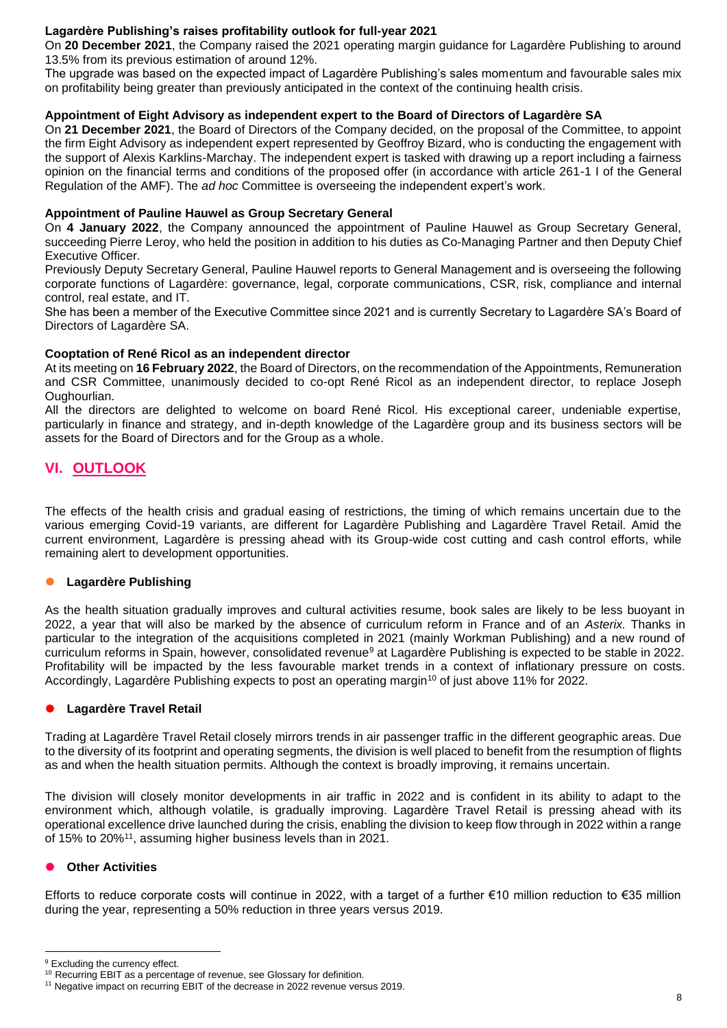### **Lagardère Publishing's raises profitability outlook for full-year 2021**

On **20 December 2021**, the Company raised the 2021 operating margin guidance for Lagardère Publishing to around 13.5% from its previous estimation of around 12%.

The upgrade was based on the expected impact of Lagardère Publishing's sales momentum and favourable sales mix on profitability being greater than previously anticipated in the context of the continuing health crisis.

### **Appointment of Eight Advisory as independent expert to the Board of Directors of Lagardère SA**

On **21 December 2021**, the Board of Directors of the Company decided, on the proposal of the Committee, to appoint the firm Eight Advisory as independent expert represented by Geoffroy Bizard, who is conducting the engagement with the support of Alexis Karklins-Marchay. The independent expert is tasked with drawing up a report including a fairness opinion on the financial terms and conditions of the proposed offer (in accordance with article 261-1 I of the General Regulation of the AMF). The *ad hoc* Committee is overseeing the independent expert's work.

### **Appointment of Pauline Hauwel as Group Secretary General**

On **4 January 2022**, the Company announced the appointment of Pauline Hauwel as Group Secretary General, succeeding Pierre Leroy, who held the position in addition to his duties as Co-Managing Partner and then Deputy Chief Executive Officer.

Previously Deputy Secretary General, Pauline Hauwel reports to General Management and is overseeing the following corporate functions of Lagardère: governance, legal, corporate communications, CSR, risk, compliance and internal control, real estate, and IT.

She has been a member of the Executive Committee since 2021 and is currently Secretary to Lagardère SA's Board of Directors of Lagardère SA.

### **Cooptation of René Ricol as an independent director**

At its meeting on **16 February 2022**, the Board of Directors, on the recommendation of the Appointments, Remuneration and CSR Committee, unanimously decided to co-opt René Ricol as an independent director, to replace Joseph Oughourlian.

All the directors are delighted to welcome on board René Ricol. His exceptional career, undeniable expertise, particularly in finance and strategy, and in-depth knowledge of the Lagardère group and its business sectors will be assets for the Board of Directors and for the Group as a whole.

# **VI. OUTLOOK**

The effects of the health crisis and gradual easing of restrictions, the timing of which remains uncertain due to the various emerging Covid-19 variants, are different for Lagardère Publishing and Lagardère Travel Retail. Amid the current environment, Lagardère is pressing ahead with its Group-wide cost cutting and cash control efforts, while remaining alert to development opportunities.

### ⚫ **Lagardère Publishing**

As the health situation gradually improves and cultural activities resume, book sales are likely to be less buoyant in 2022, a year that will also be marked by the absence of curriculum reform in France and of an *Asterix.* Thanks in particular to the integration of the acquisitions completed in 2021 (mainly Workman Publishing) and a new round of curriculum reforms in Spain, however, consolidated revenue<sup>9</sup> at Lagardère Publishing is expected to be stable in 2022. Profitability will be impacted by the less favourable market trends in a context of inflationary pressure on costs. Accordingly, Lagardère Publishing expects to post an operating margin<sup>10</sup> of just above 11% for 2022.

### ⚫ **Lagardère Travel Retail**

Trading at Lagardère Travel Retail closely mirrors trends in air passenger traffic in the different geographic areas. Due to the diversity of its footprint and operating segments, the division is well placed to benefit from the resumption of flights as and when the health situation permits. Although the context is broadly improving, it remains uncertain.

The division will closely monitor developments in air traffic in 2022 and is confident in its ability to adapt to the environment which, although volatile, is gradually improving. Lagardère Travel Retail is pressing ahead with its operational excellence drive launched during the crisis, enabling the division to keep flow through in 2022 within a range of 15% to 20%<sup>11</sup>, assuming higher business levels than in 2021.

### ⚫ **Other Activities**

Efforts to reduce corporate costs will continue in 2022, with a target of a further €10 million reduction to €35 million during the year, representing a 50% reduction in three years versus 2019.

<sup>&</sup>lt;sup>9</sup> Excluding the currency effect.

<sup>&</sup>lt;sup>10</sup> Recurring EBIT as a percentage of revenue, see Glossary for definition.

<sup>&</sup>lt;sup>11</sup> Negative impact on recurring EBIT of the decrease in 2022 revenue versus 2019.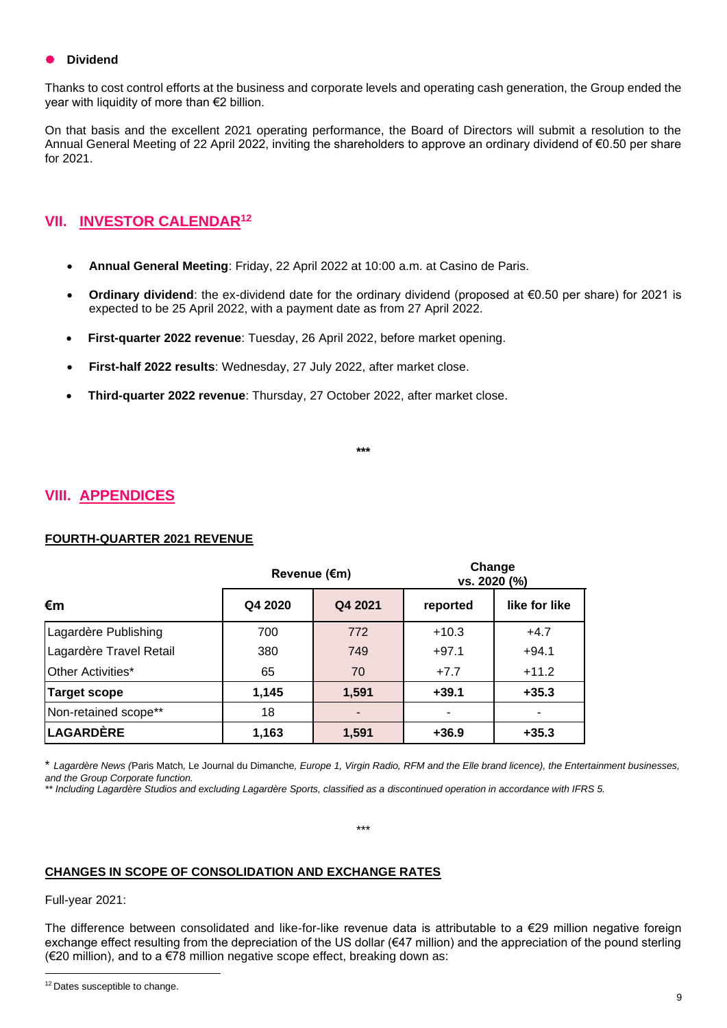#### ⚫ **Dividend**

Thanks to cost control efforts at the business and corporate levels and operating cash generation, the Group ended the vear with liquidity of more than  $€2$  billion.

On that basis and the excellent 2021 operating performance, the Board of Directors will submit a resolution to the Annual General Meeting of 22 April 2022, inviting the shareholders to approve an ordinary dividend of €0.50 per share for 2021.

# **VII. INVESTOR CALENDAR<sup>12</sup>**

- **Annual General Meeting**: Friday, 22 April 2022 at 10:00 a.m. at Casino de Paris.
- **Ordinary dividend**: the ex-dividend date for the ordinary dividend (proposed at €0.50 per share) for 2021 is expected to be 25 April 2022, with a payment date as from 27 April 2022.
- **First-quarter 2022 revenue**: Tuesday, 26 April 2022, before market opening.
- **First-half 2022 results**: Wednesday, 27 July 2022, after market close.
- **Third-quarter 2022 revenue**: Thursday, 27 October 2022, after market close.

**\*\*\***

## **VIII. APPENDICES**

### **FOURTH-QUARTER 2021 REVENUE**

|                         |         | Revenue (€m) |          | Change<br>vs. 2020 (%) |  |
|-------------------------|---------|--------------|----------|------------------------|--|
| $\epsilon$ m            | Q4 2020 | Q4 2021      | reported | like for like          |  |
| Lagardère Publishing    | 700     | 772          | $+10.3$  | $+4.7$                 |  |
| Lagardère Travel Retail | 380     | 749          | $+97.1$  | $+94.1$                |  |
| Other Activities*       | 65      | 70           | $+7.7$   | $+11.2$                |  |
| Target scope            | 1,145   | 1,591        | $+39.1$  | $+35.3$                |  |
| Non-retained scope**    | 18      |              |          |                        |  |
| <b>LAGARDÈRE</b>        | 1,163   | 1,591        | $+36.9$  | $+35.3$                |  |

\* *Lagardère News (*Paris Match*,* Le Journal du Dimanche*, Europe 1, Virgin Radio, RFM and the Elle brand licence), the Entertainment businesses, and the Group Corporate function.*

*\*\* Including Lagardère Studios and excluding Lagardère Sports, classified as a discontinued operation in accordance with IFRS 5.*

\*\*\*

#### **CHANGES IN SCOPE OF CONSOLIDATION AND EXCHANGE RATES**

Full-year 2021:

The difference between consolidated and like-for-like revenue data is attributable to a €29 million negative foreign exchange effect resulting from the depreciation of the US dollar (€47 million) and the appreciation of the pound sterling (€20 million), and to a €78 million negative scope effect, breaking down as:

<sup>&</sup>lt;sup>12</sup> Dates susceptible to change.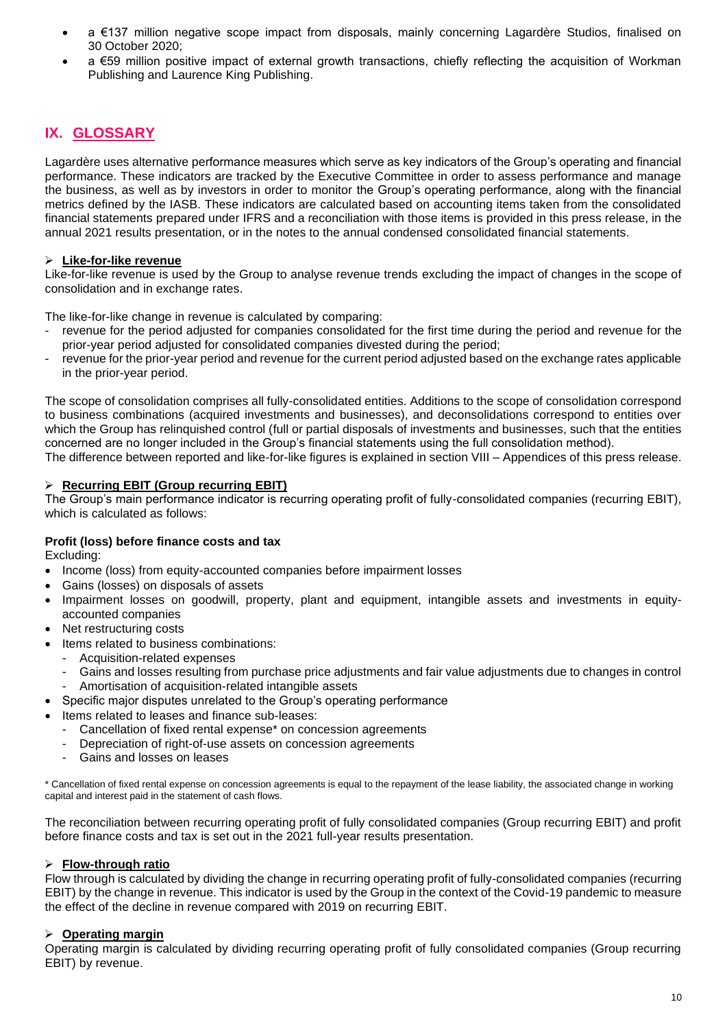- a €137 million negative scope impact from disposals, mainly concerning Lagardère Studios, finalised on 30 October 2020;
- a €59 million positive impact of external growth transactions, chiefly reflecting the acquisition of Workman Publishing and Laurence King Publishing.

# **IX. GLOSSARY**

Lagardère uses alternative performance measures which serve as key indicators of the Group's operating and financial performance. These indicators are tracked by the Executive Committee in order to assess performance and manage the business, as well as by investors in order to monitor the Group's operating performance, along with the financial metrics defined by the IASB. These indicators are calculated based on accounting items taken from the consolidated financial statements prepared under IFRS and a reconciliation with those items is provided in this press release, in the annual 2021 results presentation, or in the notes to the annual condensed consolidated financial statements.

### ➢ **Like-for-like revenue**

Like-for-like revenue is used by the Group to analyse revenue trends excluding the impact of changes in the scope of consolidation and in exchange rates.

The like-for-like change in revenue is calculated by comparing:

- revenue for the period adjusted for companies consolidated for the first time during the period and revenue for the prior-year period adjusted for consolidated companies divested during the period;
- revenue for the prior-year period and revenue for the current period adjusted based on the exchange rates applicable in the prior-year period.

The scope of consolidation comprises all fully-consolidated entities. Additions to the scope of consolidation correspond to business combinations (acquired investments and businesses), and deconsolidations correspond to entities over which the Group has relinquished control (full or partial disposals of investments and businesses, such that the entities concerned are no longer included in the Group's financial statements using the full consolidation method).

The difference between reported and like-for-like figures is explained in section VIII – Appendices of this press release.

### ➢ **Recurring EBIT (Group recurring EBIT)**

The Group's main performance indicator is recurring operating profit of fully-consolidated companies (recurring EBIT), which is calculated as follows:

### **Profit (loss) before finance costs and tax**

Excluding:

- Income (loss) from equity-accounted companies before impairment losses
- Gains (losses) on disposals of assets
- Impairment losses on goodwill, property, plant and equipment, intangible assets and investments in equityaccounted companies
- Net restructuring costs
- Items related to business combinations:
	- Acquisition-related expenses
	- Gains and losses resulting from purchase price adjustments and fair value adjustments due to changes in control
	- Amortisation of acquisition-related intangible assets
- Specific major disputes unrelated to the Group's operating performance
- Items related to leases and finance sub-leases:
	- Cancellation of fixed rental expense\* on concession agreements
	- Depreciation of right-of-use assets on concession agreements
	- Gains and losses on leases

\* Cancellation of fixed rental expense on concession agreements is equal to the repayment of the lease liability, the associated change in working capital and interest paid in the statement of cash flows.

The reconciliation between recurring operating profit of fully consolidated companies (Group recurring EBIT) and profit before finance costs and tax is set out in the 2021 full-year results presentation.

#### ➢ **Flow-through ratio**

Flow through is calculated by dividing the change in recurring operating profit of fully-consolidated companies (recurring EBIT) by the change in revenue. This indicator is used by the Group in the context of the Covid-19 pandemic to measure the effect of the decline in revenue compared with 2019 on recurring EBIT.

### ➢ **Operating margin**

Operating margin is calculated by dividing recurring operating profit of fully consolidated companies (Group recurring EBIT) by revenue.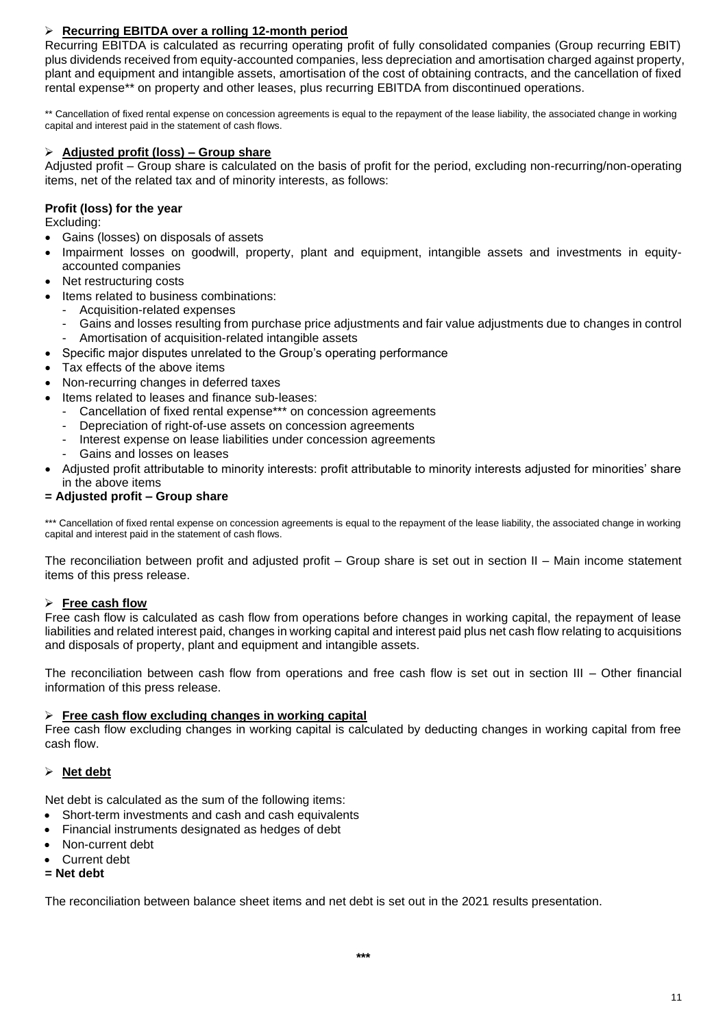### ➢ **Recurring EBITDA over a rolling 12-month period**

Recurring EBITDA is calculated as recurring operating profit of fully consolidated companies (Group recurring EBIT) plus dividends received from equity-accounted companies, less depreciation and amortisation charged against property, plant and equipment and intangible assets, amortisation of the cost of obtaining contracts, and the cancellation of fixed rental expense\*\* on property and other leases, plus recurring EBITDA from discontinued operations.

\*\* Cancellation of fixed rental expense on concession agreements is equal to the repayment of the lease liability, the associated change in working capital and interest paid in the statement of cash flows.

### ➢ **Adjusted profit (loss) – Group share**

Adjusted profit – Group share is calculated on the basis of profit for the period, excluding non-recurring/non-operating items, net of the related tax and of minority interests, as follows:

### **Profit (loss) for the year**

Excluding:

- Gains (losses) on disposals of assets
- Impairment losses on goodwill, property, plant and equipment, intangible assets and investments in equityaccounted companies
- Net restructuring costs
- Items related to business combinations:
	- Acquisition-related expenses
	- Gains and losses resulting from purchase price adjustments and fair value adjustments due to changes in control
- Amortisation of acquisition-related intangible assets
- Specific major disputes unrelated to the Group's operating performance
- Tax effects of the above items
- Non-recurring changes in deferred taxes
- Items related to leases and finance sub-leases:
	- Cancellation of fixed rental expense\*\*\* on concession agreements
	- Depreciation of right-of-use assets on concession agreements
	- Interest expense on lease liabilities under concession agreements
	- Gains and losses on leases
- Adjusted profit attributable to minority interests: profit attributable to minority interests adjusted for minorities' share in the above items

### **= Adjusted profit – Group share**

\*\*\* Cancellation of fixed rental expense on concession agreements is equal to the repayment of the lease liability, the associated change in working capital and interest paid in the statement of cash flows.

The reconciliation between profit and adjusted profit – Group share is set out in section II – Main income statement items of this press release.

### ➢ **Free cash flow**

Free cash flow is calculated as cash flow from operations before changes in working capital, the repayment of lease liabilities and related interest paid, changes in working capital and interest paid plus net cash flow relating to acquisitions and disposals of property, plant and equipment and intangible assets.

The reconciliation between cash flow from operations and free cash flow is set out in section III – Other financial information of this press release.

#### ➢ **Free cash flow excluding changes in working capital**

Free cash flow excluding changes in working capital is calculated by deducting changes in working capital from free cash flow.

### ➢ **Net debt**

Net debt is calculated as the sum of the following items:

- Short-term investments and cash and cash equivalents
- Financial instruments designated as hedges of debt
- Non-current debt
- Current debt
- **= Net debt**

The reconciliation between balance sheet items and net debt is set out in the 2021 results presentation.